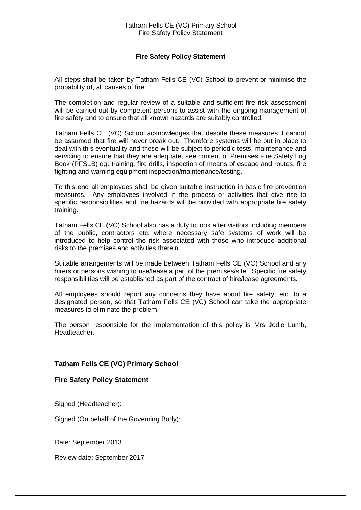## Tatham Fells CE (VC) Primary School Fire Safety Policy Statement

## **Fire Safety Policy Statement**

All steps shall be taken by Tatham Fells CE (VC) School to prevent or minimise the probability of, all causes of fire.

The completion and regular review of a suitable and sufficient fire risk assessment will be carried out by competent persons to assist with the ongoing management of fire safety and to ensure that all known hazards are suitably controlled.

Tatham Fells CE (VC) School acknowledges that despite these measures it cannot be assumed that fire will never break out. Therefore systems will be put in place to deal with this eventuality and these will be subject to periodic tests, maintenance and servicing to ensure that they are adequate, see content of Premises Fire Safety Log Book (PFSLB) eg. training, fire drills, inspection of means of escape and routes, fire fighting and warning equipment inspection/maintenance/testing.

To this end all employees shall be given suitable instruction in basic fire prevention measures. Any employees involved in the process or activities that give rise to specific responsibilities and fire hazards will be provided with appropriate fire safety training.

Tatham Fells CE (VC) School also has a duty to look after visitors including members of the public, contractors etc. where necessary safe systems of work will be introduced to help control the risk associated with those who introduce additional risks to the premises and activities therein.

Suitable arrangements will be made between Tatham Fells CE (VC) School and any hirers or persons wishing to use/lease a part of the premises/site. Specific fire safety responsibilities will be established as part of the contract of hire/lease agreements.

All employees should report any concerns they have about fire safety, etc. to a designated person, so that Tatham Fells CE (VC) School can take the appropriate measures to eliminate the problem.

The person responsible for the implementation of this policy is Mrs Jodie Lumb, Headteacher.

## **Tatham Fells CE (VC) Primary School**

## **Fire Safety Policy Statement**

Signed (Headteacher):

Signed (On behalf of the Governing Body):

Date: September 2013

Review date: September 2017